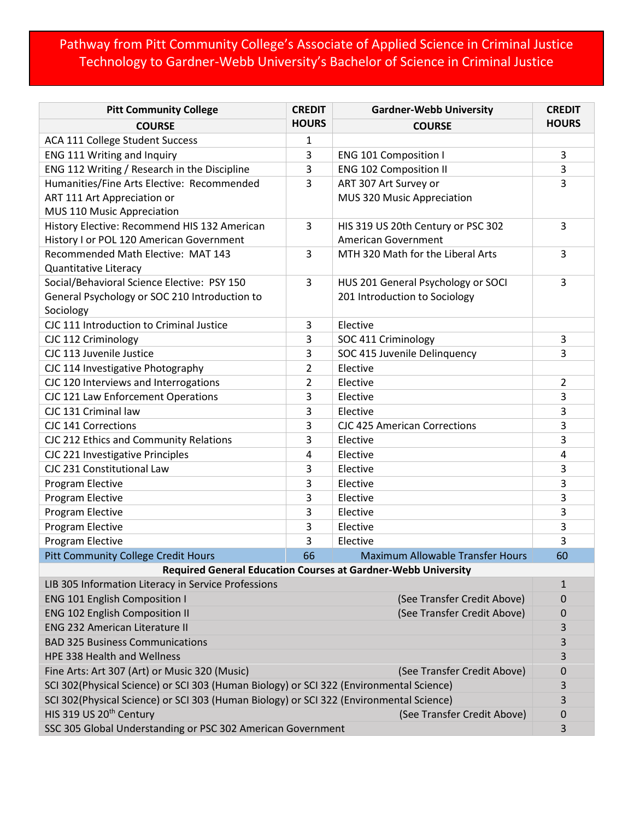## Pathway from Pitt Community College's Associate of Applied Science in Criminal Justice Technology to Gardner-Webb University's Bachelor of Science in Criminal Justice

| <b>Pitt Community College</b>                                                           | <b>CREDIT</b> | <b>Gardner-Webb University</b>          | <b>CREDIT</b>  |
|-----------------------------------------------------------------------------------------|---------------|-----------------------------------------|----------------|
| <b>COURSE</b>                                                                           | <b>HOURS</b>  | <b>COURSE</b>                           | <b>HOURS</b>   |
| ACA 111 College Student Success                                                         | 1             |                                         |                |
| ENG 111 Writing and Inquiry                                                             | 3             | <b>ENG 101 Composition I</b>            | 3              |
| ENG 112 Writing / Research in the Discipline                                            | 3             | <b>ENG 102 Composition II</b>           | 3              |
| Humanities/Fine Arts Elective: Recommended                                              | 3             | ART 307 Art Survey or                   | 3              |
| ART 111 Art Appreciation or                                                             |               | MUS 320 Music Appreciation              |                |
| MUS 110 Music Appreciation                                                              |               |                                         |                |
| History Elective: Recommend HIS 132 American                                            | 3             | HIS 319 US 20th Century or PSC 302      | 3              |
| History I or POL 120 American Government                                                |               | <b>American Government</b>              |                |
| Recommended Math Elective: MAT 143                                                      | 3             | MTH 320 Math for the Liberal Arts       | 3              |
| Quantitative Literacy                                                                   |               |                                         |                |
| Social/Behavioral Science Elective: PSY 150                                             | 3             | HUS 201 General Psychology or SOCI      | 3              |
| General Psychology or SOC 210 Introduction to                                           |               | 201 Introduction to Sociology           |                |
| Sociology                                                                               |               |                                         |                |
| CJC 111 Introduction to Criminal Justice                                                | 3             | Elective                                |                |
| CJC 112 Criminology                                                                     | 3             | SOC 411 Criminology                     | 3              |
| CJC 113 Juvenile Justice                                                                | 3             | SOC 415 Juvenile Delinquency            | 3              |
| CJC 114 Investigative Photography                                                       | 2             | Elective                                |                |
| CJC 120 Interviews and Interrogations                                                   | 2             | Elective                                | $\overline{2}$ |
| CJC 121 Law Enforcement Operations                                                      | 3             | Elective                                | 3              |
| CJC 131 Criminal law                                                                    | 3             | Elective                                | 3              |
| CJC 141 Corrections                                                                     | 3             | <b>CJC 425 American Corrections</b>     | 3              |
| CJC 212 Ethics and Community Relations                                                  | 3             | Elective                                | 3              |
| CJC 221 Investigative Principles                                                        | 4             | Elective                                | 4              |
| CJC 231 Constitutional Law                                                              | 3             | Elective                                | 3              |
| Program Elective                                                                        | 3             | Elective                                | 3              |
| Program Elective                                                                        | 3             | Elective                                | 3              |
| <b>Program Elective</b>                                                                 | 3             | Elective                                | 3              |
| <b>Program Elective</b>                                                                 | 3             | Elective                                | 3              |
| Program Elective                                                                        | 3             | Elective                                | 3              |
| <b>Pitt Community College Credit Hours</b>                                              | 66            | <b>Maximum Allowable Transfer Hours</b> | 60             |
| <b>Required General Education Courses at Gardner-Webb University</b>                    |               |                                         |                |
| LIB 305 Information Literacy in Service Professions                                     |               |                                         | $\mathbf{1}$   |
| <b>ENG 101 English Composition I</b>                                                    |               | (See Transfer Credit Above)             | 0              |
| <b>ENG 102 English Composition II</b>                                                   |               | (See Transfer Credit Above)             | 0              |
| <b>ENG 232 American Literature II</b>                                                   |               |                                         | 3              |
| <b>BAD 325 Business Communications</b>                                                  |               |                                         | 3              |
| HPE 338 Health and Wellness                                                             |               |                                         | 3              |
| Fine Arts: Art 307 (Art) or Music 320 (Music)                                           |               | (See Transfer Credit Above)             | 0              |
| SCI 302(Physical Science) or SCI 303 (Human Biology) or SCI 322 (Environmental Science) |               |                                         | 3              |
| SCI 302(Physical Science) or SCI 303 (Human Biology) or SCI 322 (Environmental Science) |               |                                         | 3              |
| HIS 319 US 20 <sup>th</sup> Century                                                     |               | (See Transfer Credit Above)             | 0              |
| SSC 305 Global Understanding or PSC 302 American Government                             |               |                                         | 3              |